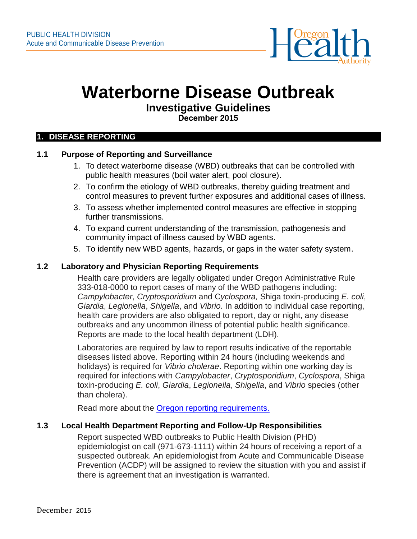

# **Waterborne Disease Outbreak**

# **Investigative Guidelines**

**December 2015** 

#### **1. DISEASE REPORTING**

#### **1.1 Purpose of Reporting and Surveillance**

- 1. To detect waterborne disease (WBD) outbreaks that can be controlled with public health measures (boil water alert, pool closure).
- 2. To confirm the etiology of WBD outbreaks, thereby guiding treatment and control measures to prevent further exposures and additional cases of illness.
- 3. To assess whether implemented control measures are effective in stopping further transmissions.
- 4. To expand current understanding of the transmission, pathogenesis and community impact of illness caused by WBD agents.
- 5. To identify new WBD agents, hazards, or gaps in the water safety system.

#### **1.2 Laboratory and Physician Reporting Requirements**

Health care providers are legally obligated under Oregon Administrative Rule 333-018-0000 to report cases of many of the WBD pathogens including: *Campylobacter*, *Cryptosporidium* and C*yclospora,* Shiga toxin-producing *E. coli*, *Giardia*, *Legionella*, *Shigella*, and *Vibrio*. In addition to individual case reporting, health care providers are also obligated to report, day or night, any disease outbreaks and any uncommon illness of potential public health significance. Reports are made to the local health department (LDH).

Laboratories are required by law to report results indicative of the reportable diseases listed above. Reporting within 24 hours (including weekends and holidays) is required for *Vibrio cholerae*. Reporting within one working day is required for infections with *Campylobacter*, *Cryptosporidium*, *Cyclospora*, Shiga toxin-producing *E. coli*, *Giardia*, *Legionella*, *Shigella*, and *Vibrio* species (other than cholera).

Read more about the [Oregon reporting requirements.](https://public.health.oregon.gov/DiseasesConditions/CommunicableDisease/ReportingCommunicableDisease/Pages/index.aspx)

#### **1.3 Local Health Department Reporting and Follow-Up Responsibilities**

Report suspected WBD outbreaks to Public Health Division (PHD) epidemiologist on call (971-673-1111) within 24 hours of receiving a report of a suspected outbreak. An epidemiologist from Acute and Communicable Disease Prevention (ACDP) will be assigned to review the situation with you and assist if there is agreement that an investigation is warranted.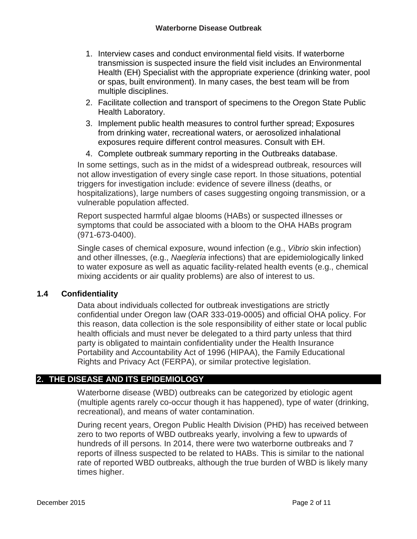- 1. Interview cases and conduct environmental field visits. If waterborne transmission is suspected insure the field visit includes an Environmental Health (EH) Specialist with the appropriate experience (drinking water, pool or spas, built environment). In many cases, the best team will be from multiple disciplines.
- 2. Facilitate collection and transport of specimens to the Oregon State Public Health Laboratory.
- 3. Implement public health measures to control further spread; Exposures from drinking water, recreational waters, or aerosolized inhalational exposures require different control measures. Consult with EH.
- 4. Complete outbreak summary reporting in the Outbreaks database.

In some settings, such as in the midst of a widespread outbreak, resources will not allow investigation of every single case report. In those situations, potential triggers for investigation include: evidence of severe illness (deaths, or hospitalizations), large numbers of cases suggesting ongoing transmission, or a vulnerable population affected.

Report suspected harmful algae blooms (HABs) or suspected illnesses or symptoms that could be associated with a bloom to the OHA HABs program (971-673-0400).

Single cases of chemical exposure, wound infection (e.g., *Vibrio* skin infection) and other illnesses, (e.g., *Naegleria* infections) that are epidemiologically linked to water exposure as well as aquatic facility-related health events (e.g., chemical mixing accidents or air quality problems) are also of interest to us.

#### **1.4 Confidentiality**

Data about individuals collected for outbreak investigations are strictly confidential under Oregon law (OAR 333-019-0005) and official OHA policy. For this reason, data collection is the sole responsibility of either state or local public health officials and must never be delegated to a third party unless that third party is obligated to maintain confidentiality under the Health Insurance Portability and Accountability Act of 1996 (HIPAA), the Family Educational Rights and Privacy Act (FERPA), or similar protective legislation.

#### **2. THE DISEASE AND ITS EPIDEMIOLOGY**

Waterborne disease (WBD) outbreaks can be categorized by etiologic agent (multiple agents rarely co-occur though it has happened), type of water (drinking, recreational), and means of water contamination.

During recent years, Oregon Public Health Division (PHD) has received between zero to two reports of WBD outbreaks yearly, involving a few to upwards of hundreds of ill persons. In 2014, there were two waterborne outbreaks and 7 reports of illness suspected to be related to HABs. This is similar to the national rate of reported WBD outbreaks, although the true burden of WBD is likely many times higher.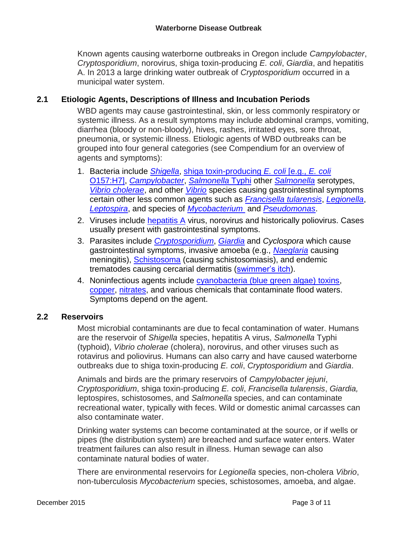Known agents causing waterborne outbreaks in Oregon include *Campylobacter*, *Cryptosporidium*, norovirus, shiga toxin-producing *E. coli*, *Giardia*, and hepatitis A. In 2013 a large drinking water outbreak of *Cryptosporidium* occurred in a municipal water system.

### **2.1 Etiologic Agents, Descriptions of Illness and Incubation Periods**

WBD agents may cause gastrointestinal, skin, or less commonly respiratory or systemic illness. As a result symptoms may include abdominal cramps, vomiting, diarrhea (bloody or non-bloody), hives, rashes, irritated eyes, sore throat, pneumonia, or systemic illness. Etiologic agents of WBD outbreaks can be grouped into four general categories (see Compendium for an overview of agents and symptoms):

- 1. Bacteria include *[Shigella](https://public.health.oregon.gov/DiseasesConditions/CommunicableDisease/ReportingCommunicableDisease/ReportingGuidelines/Documents/shigellosis.pdf)*, [shiga toxin-producing](https://public.health.oregon.gov/DiseasesConditions/CommunicableDisease/ReportingCommunicableDisease/ReportingGuidelines/Documents/o157.pdf) *E. coli* [e.g., *E. coli* [O157:H7\]](https://public.health.oregon.gov/DiseasesConditions/CommunicableDisease/ReportingCommunicableDisease/ReportingGuidelines/Documents/o157.pdf), *[Campylobacter](https://public.health.oregon.gov/DiseasesConditions/CommunicableDisease/ReportingCommunicableDisease/ReportingGuidelines/Documents/campy.pdf)*, *[Salmonella](https://public.health.oregon.gov/DiseasesConditions/CommunicableDisease/ReportingCommunicableDisease/ReportingGuidelines/Documents/typhoid.pdf)* Typhi other *[Salmonella](https://public.health.oregon.gov/DiseasesConditions/CommunicableDisease/ReportingCommunicableDisease/ReportingGuidelines/Documents/salmonel.pdf)* serotypes, *[Vibrio cholerae](http://www.cdc.gov/cholera/index.html)*, and other *[Vibrio](https://public.health.oregon.gov/DiseasesConditions/CommunicableDisease/ReportingCommunicableDisease/ReportingGuidelines/Documents/vibrio.pdf)* species causing gastrointestinal symptoms certain other less common agents such as *[Francisella](https://public.health.oregon.gov/DiseasesConditions/CommunicableDisease/ReportingCommunicableDisease/ReportingGuidelines/Documents/tularemia.pdf) tularensis*, *[Legionella](https://public.health.oregon.gov/DiseasesConditions/CommunicableDisease/ReportingCommunicableDisease/ReportingGuidelines/Documents/legionel.pdf)*, *[Leptospira](http://www.cdc.gov/leptospirosis/)*, and species of *[Mycobacterium](https://public.health.oregon.gov/DiseasesConditions/CommunicableDisease/ReportingCommunicableDisease/ReportingGuidelines/Documents/ntm.pdf)* and *[Pseudomonas](http://www.cdc.gov/hai/organisms/pseudomonas.html)*.
- 2. Viruses include [hepatitis A](https://public.health.oregon.gov/DiseasesConditions/CommunicableDisease/ReportingCommunicableDisease/ReportingGuidelines/Documents/hepa.pdf) virus, norovirus and historically poliovirus. Cases usually present with gastrointestinal symptoms.
- 3. Parasites include *[Cryptosporidium](https://public.health.oregon.gov/DiseasesConditions/CommunicableDisease/ReportingCommunicableDisease/ReportingGuidelines/Documents/crypto.pdf)*, *[Giardia](https://public.health.oregon.gov/DiseasesConditions/CommunicableDisease/ReportingCommunicableDisease/ReportingGuidelines/Documents/giardia.pdf)* and *Cyclospora* which cause gastrointestinal symptoms, invasive amoeba (e.g., *[Naeglaria](http://www.cdc.gov/parasites/naegleria/)* causing meningitis), [Schistosoma](http://www.cdc.gov/parasites/schistosomiasis/) (causing schistosomiasis), and endemic trematodes causing cercarial dermatitis [\(swimmer's itch\)](http://www.cdc.gov/parasites/swimmersitch/).
- 4. Noninfectious agents include [cyanobacteria \(blue green algae\) toxins,](http://public.health.oregon.gov/HealthyEnvironments/Recreation/HarmfulAlgaeBlooms/Pages/index.aspx) [copper,](http://www.cdc.gov/healthywater/drinking/private/wells/disease/copper.html) [nitrates,](http://www.cdc.gov/healthywater/drinking/private/wells/disease/nitrate.html) and various chemicals that contaminate flood waters. Symptoms depend on the agent.

#### **2.2 Reservoirs**

Most microbial contaminants are due to fecal contamination of water. Humans are the reservoir of *Shigella* species, hepatitis A virus, *Salmonella* Typhi (typhoid), *Vibrio cholerae* (cholera), norovirus, and other viruses such as rotavirus and poliovirus. Humans can also carry and have caused waterborne outbreaks due to shiga toxin-producing *E. coli*, *Cryptosporidium* and *Giardia*.

Animals and birds are the primary reservoirs of *Campylobacter jejuni*, *Cryptosporidium*, shiga toxin-producing *E. coli*, *Francisella tularensis*, *Giardia,*  leptospires, schistosomes, and *Salmonella* species, and can contaminate recreational water, typically with feces. Wild or domestic animal carcasses can also contaminate water.

Drinking water systems can become contaminated at the source, or if wells or pipes (the distribution system) are breached and surface water enters. Water treatment failures can also result in illness. Human sewage can also contaminate natural bodies of water.

There are environmental reservoirs for *Legionella* species, non-cholera *Vibrio*, non-tuberculosis *Mycobacterium* species, schistosomes, amoeba, and algae.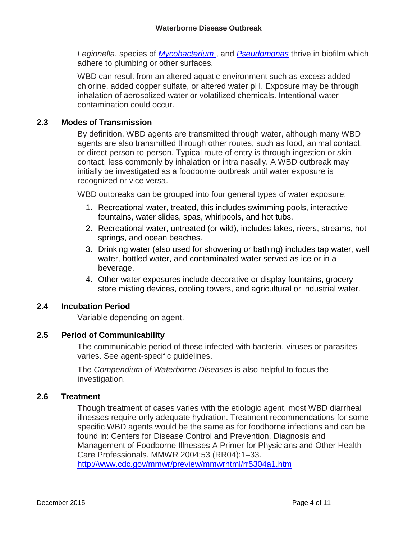*Legionella*, species of *[Mycobacterium](https://public.health.oregon.gov/DiseasesConditions/CommunicableDisease/ReportingCommunicableDisease/ReportingGuidelines/Documents/ntm.pdf)* , and *[Pseudomonas](http://www.cdc.gov/hai/organisms/pseudomonas.html)* thrive in biofilm which adhere to plumbing or other surfaces.

WBD can result from an altered aquatic environment such as excess added chlorine, added copper sulfate, or altered water pH. Exposure may be through inhalation of aerosolized water or volatilized chemicals. Intentional water contamination could occur.

#### **2.3 Modes of Transmission**

By definition, WBD agents are transmitted through water, although many WBD agents are also transmitted through other routes, such as food, animal contact, or direct person-to-person. Typical route of entry is through ingestion or skin contact, less commonly by inhalation or intra nasally. A WBD outbreak may initially be investigated as a foodborne outbreak until water exposure is recognized or vice versa.

WBD outbreaks can be grouped into four general types of water exposure:

- 1. Recreational water, treated, this includes swimming pools, interactive fountains, water slides, spas, whirlpools, and hot tubs.
- 2. Recreational water, untreated (or wild), includes lakes, rivers, streams, hot springs, and ocean beaches.
- 3. Drinking water (also used for showering or bathing) includes tap water, well water, bottled water, and contaminated water served as ice or in a beverage.
- 4. Other water exposures include decorative or display fountains, grocery store misting devices, cooling towers, and agricultural or industrial water.

#### **2.4 Incubation Period**

Variable depending on agent.

#### **2.5 Period of Communicability**

The communicable period of those infected with bacteria, viruses or parasites varies. See agent-specific guidelines.

The *Compendium of Waterborne Diseases* is also helpful to focus the investigation.

#### **2.6 Treatment**

Though treatment of cases varies with the etiologic agent, most WBD diarrheal illnesses require only adequate hydration. Treatment recommendations for some specific WBD agents would be the same as for foodborne infections and can be found in: Centers for Disease Control and Prevention. Diagnosis and Management of Foodborne Illnesses A Primer for Physicians and Other Health Care Professionals. MMWR 2004;53 (RR04):1–33. <http://www.cdc.gov/mmwr/preview/mmwrhtml/rr5304a1.htm>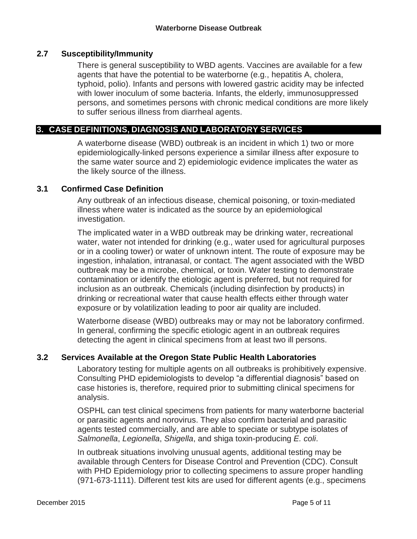#### **2.7 Susceptibility/Immunity**

There is general susceptibility to WBD agents. Vaccines are available for a few agents that have the potential to be waterborne (e.g., hepatitis A, cholera, typhoid, polio). Infants and persons with lowered gastric acidity may be infected with lower inoculum of some bacteria. Infants, the elderly, immunosuppressed persons, and sometimes persons with chronic medical conditions are more likely to suffer serious illness from diarrheal agents.

#### **3. CASE DEFINITIONS, DIAGNOSIS AND LABORATORY SERVICES**

A waterborne disease (WBD) outbreak is an incident in which 1) two or more epidemiologically-linked persons experience a similar illness after exposure to the same water source and 2) epidemiologic evidence implicates the water as the likely source of the illness.

#### **3.1 Confirmed Case Definition**

Any outbreak of an infectious disease, chemical poisoning, or toxin-mediated illness where water is indicated as the source by an epidemiological investigation.

The implicated water in a WBD outbreak may be drinking water, recreational water, water not intended for drinking (e.g., water used for agricultural purposes or in a cooling tower) or water of unknown intent. The route of exposure may be ingestion, inhalation, intranasal, or contact. The agent associated with the WBD outbreak may be a microbe, chemical, or toxin. Water testing to demonstrate contamination or identify the etiologic agent is preferred, but not required for inclusion as an outbreak. Chemicals (including disinfection by products) in drinking or recreational water that cause health effects either through water exposure or by volatilization leading to poor air quality are included.

Waterborne disease (WBD) outbreaks may or may not be laboratory confirmed. In general, confirming the specific etiologic agent in an outbreak requires detecting the agent in clinical specimens from at least two ill persons.

#### **3.2 Services Available at the Oregon State Public Health Laboratories**

Laboratory testing for multiple agents on all outbreaks is prohibitively expensive. Consulting PHD epidemiologists to develop "a differential diagnosis" based on case histories is, therefore, required prior to submitting clinical specimens for analysis.

OSPHL can test clinical specimens from patients for many waterborne bacterial or parasitic agents and norovirus. They also confirm bacterial and parasitic agents tested commercially, and are able to speciate or subtype isolates of *Salmonella*, *Legionella*, *Shigella*, and shiga toxin-producing *E. coli*.

In outbreak situations involving unusual agents, additional testing may be available through Centers for Disease Control and Prevention (CDC). Consult with PHD Epidemiology prior to collecting specimens to assure proper handling (971-673-1111). Different test kits are used for different agents (e.g., specimens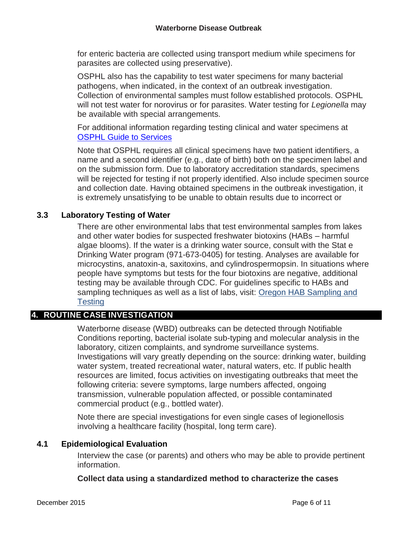for enteric bacteria are collected using transport medium while specimens for parasites are collected using preservative).

OSPHL also has the capability to test water specimens for many bacterial pathogens, when indicated, in the context of an outbreak investigation. Collection of environmental samples must follow established protocols. OSPHL will not test water for norovirus or for parasites. Water testing for *Legionella* may be available with special arrangements.

For additional information regarding testing clinical and water specimens at [OSPHL Guide to Services](https://public.health.oregon.gov/LaboratoryServices/Pages/AllLabTests.aspx#H)

Note that OSPHL requires all clinical specimens have two patient identifiers, a name and a second identifier (e.g., date of birth) both on the specimen label and on the submission form. Due to laboratory accreditation standards, specimens will be rejected for testing if not properly identified. Also include specimen source and collection date. Having obtained specimens in the outbreak investigation, it is extremely unsatisfying to be unable to obtain results due to incorrect or

## **3.3 Laboratory Testing of Water**

There are other environmental labs that test environmental samples from lakes and other water bodies for suspected freshwater biotoxins (HABs – harmful algae blooms). If the water is a drinking water source, consult with the Stat e Drinking Water program (971-673-0405) for testing. Analyses are available for microcystins, anatoxin-a, saxitoxins, and cylindrospermopsin. In situations where people have symptoms but tests for the four biotoxins are negative, additional testing may be available through CDC. For guidelines specific to HABs and sampling techniques as well as a list of labs, visit: [Oregon HAB Sampling and](http://public.health.oregon.gov/HealthyEnvironments/Recreation/HarmfulAlgaeBlooms/Pages/resources_for_samplers.aspx)  **[Testing](http://public.health.oregon.gov/HealthyEnvironments/Recreation/HarmfulAlgaeBlooms/Pages/resources_for_samplers.aspx)** 

# **4. ROUTINE CASE INVESTIGATION**

Waterborne disease (WBD) outbreaks can be detected through Notifiable Conditions reporting, bacterial isolate sub-typing and molecular analysis in the laboratory, citizen complaints, and syndrome surveillance systems. Investigations will vary greatly depending on the source: drinking water, building water system, treated recreational water, natural waters, etc. If public health resources are limited, focus activities on investigating outbreaks that meet the following criteria: severe symptoms, large numbers affected, ongoing transmission, vulnerable population affected, or possible contaminated commercial product (e.g., bottled water).

Note there are special investigations for even single cases of legionellosis involving a healthcare facility (hospital, long term care).

#### **4.1 Epidemiological Evaluation**

Interview the case (or parents) and others who may be able to provide pertinent information.

#### **Collect data using a standardized method to characterize the cases**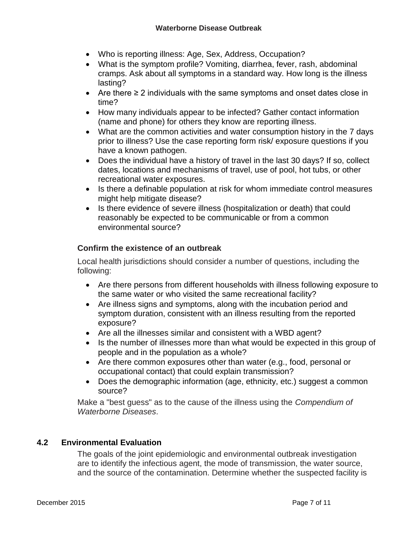- Who is reporting illness: Age, Sex, Address, Occupation?
- What is the symptom profile? Vomiting, diarrhea, fever, rash, abdominal cramps. Ask about all symptoms in a standard way. How long is the illness lasting?
- Are there ≥ 2 individuals with the same symptoms and onset dates close in time?
- How many individuals appear to be infected? Gather contact information (name and phone) for others they know are reporting illness.
- What are the common activities and water consumption history in the 7 days prior to illness? Use the case reporting form risk/ exposure questions if you have a known pathogen.
- Does the individual have a history of travel in the last 30 days? If so, collect dates, locations and mechanisms of travel, use of pool, hot tubs, or other recreational water exposures.
- Is there a definable population at risk for whom immediate control measures might help mitigate disease?
- Is there evidence of severe illness (hospitalization or death) that could reasonably be expected to be communicable or from a common environmental source?

## **Confirm the existence of an outbreak**

Local health jurisdictions should consider a number of questions, including the following:

- Are there persons from different households with illness following exposure to the same water or who visited the same recreational facility?
- Are illness signs and symptoms, along with the incubation period and symptom duration, consistent with an illness resulting from the reported exposure?
- Are all the illnesses similar and consistent with a WBD agent?
- Is the number of illnesses more than what would be expected in this group of people and in the population as a whole?
- Are there common exposures other than water (e.g., food, personal or occupational contact) that could explain transmission?
- Does the demographic information (age, ethnicity, etc.) suggest a common source?

Make a "best guess" as to the cause of the illness using the *Compendium of Waterborne Diseases*.

# **4.2 Environmental Evaluation**

The goals of the joint epidemiologic and environmental outbreak investigation are to identify the infectious agent, the mode of transmission, the water source, and the source of the contamination. Determine whether the suspected facility is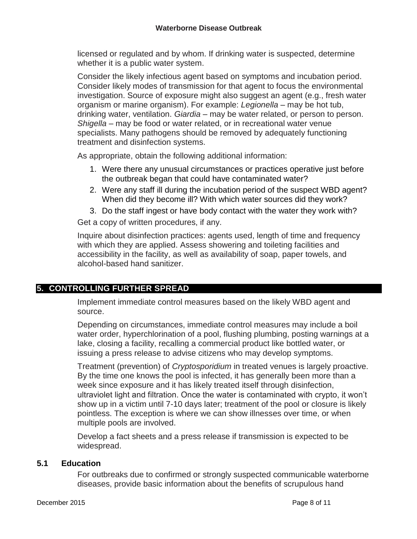licensed or regulated and by whom. If drinking water is suspected, determine whether it is a public water system.

Consider the likely infectious agent based on symptoms and incubation period. Consider likely modes of transmission for that agent to focus the environmental investigation. Source of exposure might also suggest an agent (e.g., fresh water organism or marine organism). For example: *Legionella* – may be hot tub, drinking water, ventilation. *Giardia* – may be water related, or person to person. *Shigella* – may be food or water related, or in recreational water venue specialists. Many pathogens should be removed by adequately functioning treatment and disinfection systems.

As appropriate, obtain the following additional information:

- 1. Were there any unusual circumstances or practices operative just before the outbreak began that could have contaminated water?
- 2. Were any staff ill during the incubation period of the suspect WBD agent? When did they become ill? With which water sources did they work?
- 3. Do the staff ingest or have body contact with the water they work with?

Get a copy of written procedures, if any.

Inquire about disinfection practices: agents used, length of time and frequency with which they are applied. Assess showering and toileting facilities and accessibility in the facility, as well as availability of soap, paper towels, and alcohol-based hand sanitizer.

# **5. CONTROLLING FURTHER SPREAD**

Implement immediate control measures based on the likely WBD agent and source.

Depending on circumstances, immediate control measures may include a boil water order, hyperchlorination of a pool, flushing plumbing, posting warnings at a lake, closing a facility, recalling a commercial product like bottled water, or issuing a press release to advise citizens who may develop symptoms.

Treatment (prevention) of *Cryptosporidium* in treated venues is largely proactive. By the time one knows the pool is infected, it has generally been more than a week since exposure and it has likely treated itself through disinfection, ultraviolet light and filtration. Once the water is contaminated with crypto, it won't show up in a victim until 7-10 days later; treatment of the pool or closure is likely pointless. The exception is where we can show illnesses over time, or when multiple pools are involved.

Develop a fact sheets and a press release if transmission is expected to be widespread.

#### **5.1 Education**

For outbreaks due to confirmed or strongly suspected communicable waterborne diseases, provide basic information about the benefits of scrupulous hand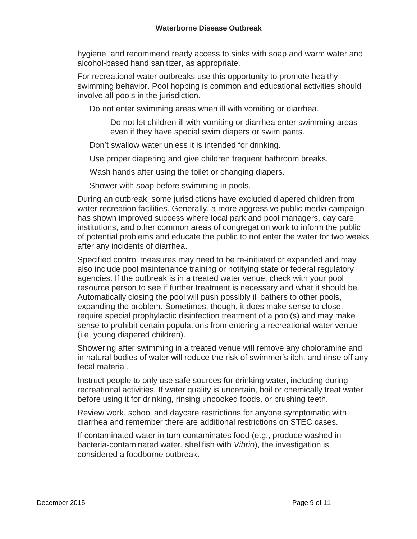hygiene, and recommend ready access to sinks with soap and warm water and alcohol-based hand sanitizer, as appropriate.

For recreational water outbreaks use this opportunity to promote healthy swimming behavior. Pool hopping is common and educational activities should involve all pools in the jurisdiction.

Do not enter swimming areas when ill with vomiting or diarrhea.

Do not let children ill with vomiting or diarrhea enter swimming areas even if they have special swim diapers or swim pants.

Don't swallow water unless it is intended for drinking.

Use proper diapering and give children frequent bathroom breaks.

Wash hands after using the toilet or changing diapers.

Shower with soap before swimming in pools.

During an outbreak, some jurisdictions have excluded diapered children from water recreation facilities. Generally, a more aggressive public media campaign has shown improved success where local park and pool managers, day care institutions, and other common areas of congregation work to inform the public of potential problems and educate the public to not enter the water for two weeks after any incidents of diarrhea.

Specified control measures may need to be re-initiated or expanded and may also include pool maintenance training or notifying state or federal regulatory agencies. If the outbreak is in a treated water venue, check with your pool resource person to see if further treatment is necessary and what it should be. Automatically closing the pool will push possibly ill bathers to other pools, expanding the problem. Sometimes, though, it does make sense to close, require special prophylactic disinfection treatment of a pool(s) and may make sense to prohibit certain populations from entering a recreational water venue (i.e. young diapered children).

Showering after swimming in a treated venue will remove any choloramine and in natural bodies of water will reduce the risk of swimmer's itch, and rinse off any fecal material.

Instruct people to only use safe sources for drinking water, including during recreational activities. If water quality is uncertain, boil or chemically treat water before using it for drinking, rinsing uncooked foods, or brushing teeth.

Review work, school and daycare restrictions for anyone symptomatic with diarrhea and remember there are additional restrictions on STEC cases.

If contaminated water in turn contaminates food (e.g., produce washed in bacteria-contaminated water, shellfish with *Vibrio*), the investigation is considered a foodborne outbreak.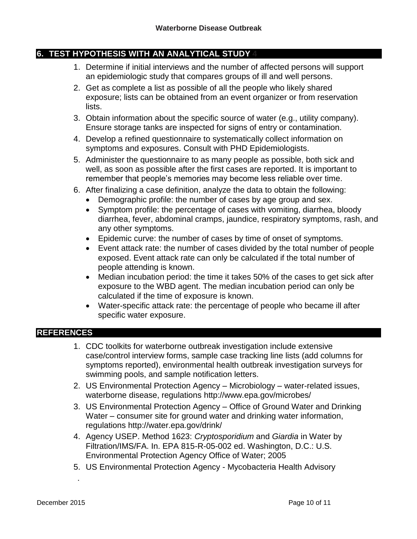### **6. TEST HYPOTHESIS WITH AN ANALYTICAL STUDY 4**

- 1. Determine if initial interviews and the number of affected persons will support an epidemiologic study that compares groups of ill and well persons.
- 2. Get as complete a list as possible of all the people who likely shared exposure; lists can be obtained from an event organizer or from reservation lists.
- 3. Obtain information about the specific source of water (e.g., utility company). Ensure storage tanks are inspected for signs of entry or contamination.
- 4. Develop a refined questionnaire to systematically collect information on symptoms and exposures. Consult with PHD Epidemiologists.
- 5. Administer the questionnaire to as many people as possible, both sick and well, as soon as possible after the first cases are reported. It is important to remember that people's memories may become less reliable over time.
- 6. After finalizing a case definition, analyze the data to obtain the following:
	- Demographic profile: the number of cases by age group and sex.
	- Symptom profile: the percentage of cases with vomiting, diarrhea, bloody diarrhea, fever, abdominal cramps, jaundice, respiratory symptoms, rash, and any other symptoms.
	- Epidemic curve: the number of cases by time of onset of symptoms.
	- Event attack rate: the number of cases divided by the total number of people exposed. Event attack rate can only be calculated if the total number of people attending is known.
	- Median incubation period: the time it takes 50% of the cases to get sick after exposure to the WBD agent. The median incubation period can only be calculated if the time of exposure is known.
	- Water-specific attack rate: the percentage of people who became ill after specific water exposure.

#### **REFERENCES**

- 1. [CDC toolkits](http://www.cdc.gov/healthywater/emergency/toolkit/index.html) for waterborne outbreak investigation include extensive case/control interview forms, sample case tracking line lists (add columns for symptoms reported), environmental health outbreak investigation surveys for swimming pools, and sample notification letters.
- 2. US Environmental Protection Agency Microbiology water-related issues, waterborne disease, regulations<http://www.epa.gov/microbes/>
- 3. US Environmental Protection Agency Office of Ground Water and Drinking Water – consumer site for ground water and drinking water information, regulations<http://water.epa.gov/drink/>
- 4. Agency USEP. Method 1623: *Cryptosporidium* and *Giardia* in Water by Filtration/IMS/FA. In. EPA 815-R-05-002 ed. Washington, D.C.: U.S. Environmental Protection Agency Office of Water; 2005
- 5. US Environmental Protection Agency [Mycobacteria Health Advisory](http://water.epa.gov/action/advisories/drinking/upload/2009_02_03_criteria_humanhealth_microbial_mycobacteriaha.pdf)

.